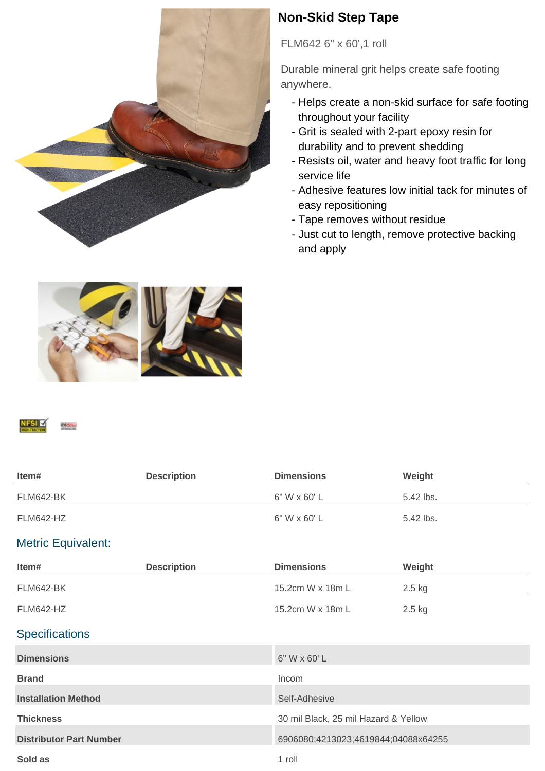

## **Non-Skid Step Tape**

FLM642 6" x 60',1 roll

Durable mineral grit helps create safe footing anywhere.

- Helps create a non-skid surface for safe footing throughout your facility
- Grit is sealed with 2-part epoxy resin for durability and to prevent shedding
- Resists oil, water and heavy foot traffic for long service life
- Adhesive features low initial tack for minutes of easy repositioning
- Tape removes without residue
- Just cut to length, remove protective backing and apply



| Item#                          | <b>Description</b> | <b>Dimensions</b>                    | Weight    |
|--------------------------------|--------------------|--------------------------------------|-----------|
| FLM642-BK                      |                    | 6" W x 60' L                         | 5.42 lbs. |
| <b>FLM642-HZ</b>               |                    | 6" W x 60' L                         | 5.42 lbs. |
| <b>Metric Equivalent:</b>      |                    |                                      |           |
| Item#                          | <b>Description</b> | <b>Dimensions</b>                    | Weight    |
| FLM642-BK                      |                    | 15.2cm W x 18m L                     | 2.5 kg    |
| <b>FLM642-HZ</b>               |                    | 15.2cm W x 18m L                     | 2.5 kg    |
| <b>Specifications</b>          |                    |                                      |           |
| <b>Dimensions</b>              |                    | 6" W x 60' L                         |           |
| <b>Brand</b>                   |                    | Incom                                |           |
| <b>Installation Method</b>     |                    | Self-Adhesive                        |           |
| <b>Thickness</b>               |                    | 30 mil Black, 25 mil Hazard & Yellow |           |
| <b>Distributor Part Number</b> |                    | 6906080;4213023;4619844;04088x64255  |           |
| Sold as                        |                    | 1 roll                               |           |